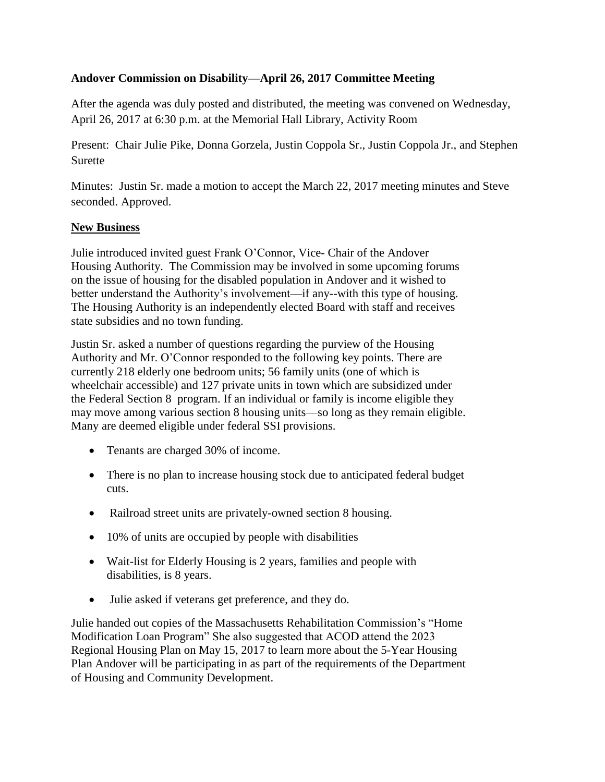## **Andover Commission on Disability—April 26, 2017 Committee Meeting**

After the agenda was duly posted and distributed, the meeting was convened on Wednesday, April 26, 2017 at 6:30 p.m. at the Memorial Hall Library, Activity Room

Present: Chair Julie Pike, Donna Gorzela, Justin Coppola Sr., Justin Coppola Jr., and Stephen Surette

Minutes: Justin Sr. made a motion to accept the March 22, 2017 meeting minutes and Steve seconded. Approved.

## **New Business**

Julie introduced invited guest Frank O'Connor, Vice- Chair of the Andover Housing Authority. The Commission may be involved in some upcoming forums on the issue of housing for the disabled population in Andover and it wished to better understand the Authority's involvement—if any--with this type of housing. The Housing Authority is an independently elected Board with staff and receives state subsidies and no town funding.

Justin Sr. asked a number of questions regarding the purview of the Housing Authority and Mr. O'Connor responded to the following key points. There are currently 218 elderly one bedroom units; 56 family units (one of which is wheelchair accessible) and 127 private units in town which are subsidized under the Federal Section 8 program. If an individual or family is income eligible they may move among various section 8 housing units—so long as they remain eligible. Many are deemed eligible under federal SSI provisions.

- Tenants are charged 30% of income.
- There is no plan to increase housing stock due to anticipated federal budget cuts.
- Railroad street units are privately-owned section 8 housing.
- 10% of units are occupied by people with disabilities
- Wait-list for Elderly Housing is 2 years, families and people with disabilities, is 8 years.
- Julie asked if veterans get preference, and they do.

Julie handed out copies of the Massachusetts Rehabilitation Commission's "Home Modification Loan Program" She also suggested that ACOD attend the 2023 Regional Housing Plan on May 15, 2017 to learn more about the 5-Year Housing Plan Andover will be participating in as part of the requirements of the Department of Housing and Community Development.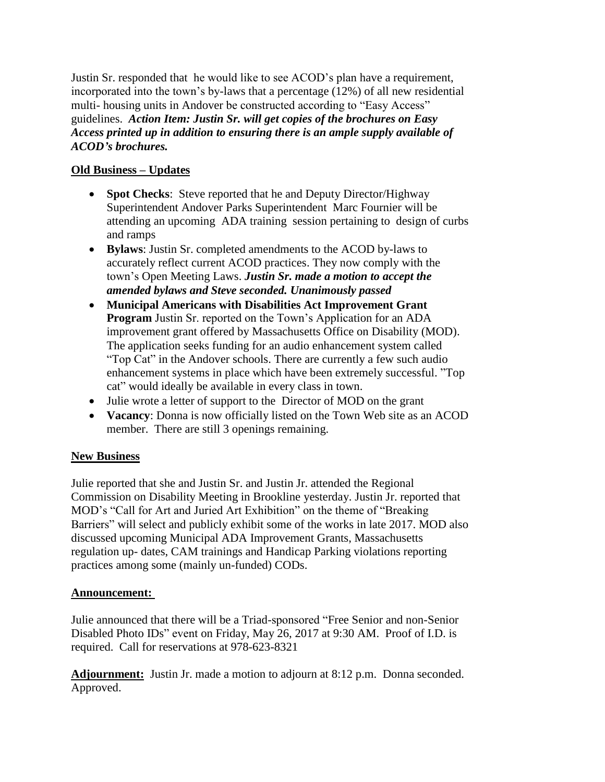Justin Sr. responded that he would like to see ACOD's plan have a requirement, incorporated into the town's by-laws that a percentage (12%) of all new residential multi- housing units in Andover be constructed according to "Easy Access" guidelines. *Action Item: Justin Sr. will get copies of the brochures on Easy Access printed up in addition to ensuring there is an ample supply available of ACOD's brochures.*

## **Old Business – Updates**

- **Spot Checks**: Steve reported that he and Deputy Director/Highway Superintendent Andover Parks Superintendent Marc Fournier will be attending an upcoming ADA training session pertaining to design of curbs and ramps
- **Bylaws**: Justin Sr. completed amendments to the ACOD by-laws to accurately reflect current ACOD practices. They now comply with the town's Open Meeting Laws. *Justin Sr. made a motion to accept the amended bylaws and Steve seconded. Unanimously passed*
- **Municipal Americans with Disabilities Act Improvement Grant Program** Justin Sr. reported on the Town's Application for an ADA improvement grant offered by Massachusetts Office on Disability (MOD). The application seeks funding for an audio enhancement system called "Top Cat" in the Andover schools. There are currently a few such audio enhancement systems in place which have been extremely successful. "Top cat" would ideally be available in every class in town.
- Julie wrote a letter of support to the Director of MOD on the grant
- **Vacancy**: Donna is now officially listed on the Town Web site as an ACOD member. There are still 3 openings remaining.

# **New Business**

Julie reported that she and Justin Sr. and Justin Jr. attended the Regional Commission on Disability Meeting in Brookline yesterday. Justin Jr. reported that MOD's "Call for Art and Juried Art Exhibition" on the theme of "Breaking Barriers" will select and publicly exhibit some of the works in late 2017. MOD also discussed upcoming Municipal ADA Improvement Grants, Massachusetts regulation up- dates, CAM trainings and Handicap Parking violations reporting practices among some (mainly un-funded) CODs.

## **Announcement:**

Julie announced that there will be a Triad-sponsored "Free Senior and non-Senior Disabled Photo IDs" event on Friday, May 26, 2017 at 9:30 AM. Proof of I.D. is required. Call for reservations at 978-623-8321

**Adjournment:** Justin Jr. made a motion to adjourn at 8:12 p.m. Donna seconded. Approved.